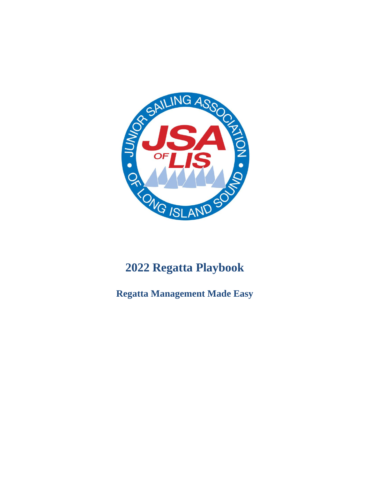

# **2022 Regatta Playbook**

**Regatta Management Made Easy**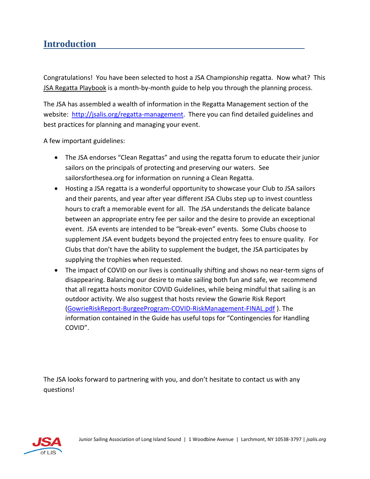# **Introduction**

Congratulations! You have been selected to host a JSA Championship regatta. Now what? This JSA Regatta Playbook is a month-by-month guide to help you through the planning process.

The JSA has assembled a wealth of information in the Regatta Management section of the website: [http://jsalis.org/regatta-management.](http://jsalis.org/regatta-management) There you can find detailed guidelines and best practices for planning and managing your event.

A few important guidelines:

- The JSA endorses "Clean Regattas" and using the regatta forum to educate their junior sailors on the principals of protecting and preserving our waters. See sailorsforthesea.org for information on running a Clean Regatta.
- Hosting a JSA regatta is a wonderful opportunity to showcase your Club to JSA sailors and their parents, and year after year different JSA Clubs step up to invest countless hours to craft a memorable event for all. The JSA understands the delicate balance between an appropriate entry fee per sailor and the desire to provide an exceptional event. JSA events are intended to be "break-even" events. Some Clubs choose to supplement JSA event budgets beyond the projected entry fees to ensure quality. For Clubs that don't have the ability to supplement the budget, the JSA participates by supplying the trophies when requested.
- The impact of COVID on our lives is continually shifting and shows no near-term signs of disappearing. Balancing our desire to make sailing both fun and safe, we recommend that all regatta hosts monitor COVID Guidelines, while being mindful that sailing is an outdoor activity. We also suggest that hosts review the Gowrie Risk Report [\(GowrieRiskReport-BurgeeProgram-COVID-RiskManagement-FINAL.pdf](https://www.gowrie.com/pdfs/GowrieRiskReport-BurgeeProgram-COVID-RiskManagement-FINAL.pdf) ). The information contained in the Guide has useful tops for "Contingencies for Handling COVID".

The JSA looks forward to partnering with you, and don't hesitate to contact us with any questions!

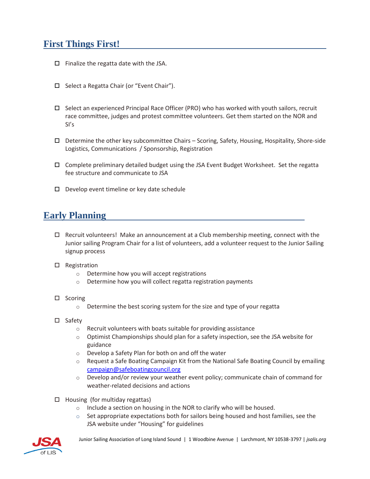# **First Things First!**

- $\Box$  Finalize the regatta date with the JSA.
- □ Select a Regatta Chair (or "Event Chair").
- $\Box$  Select an experienced Principal Race Officer (PRO) who has worked with youth sailors, recruit race committee, judges and protest committee volunteers. Get them started on the NOR and SI's
- $\Box$  Determine the other key subcommittee Chairs Scoring, Safety, Housing, Hospitality, Shore-side Logistics, Communications / Sponsorship, Registration
- Complete preliminary detailed budget using the JSA Event Budget Worksheet. Set the regatta fee structure and communicate to JSA
- $\Box$  Develop event timeline or key date schedule

## **Early Planning**

- $\Box$  Recruit volunteers! Make an announcement at a Club membership meeting, connect with the Junior sailing Program Chair for a list of volunteers, add a volunteer request to the Junior Sailing signup process
- $\square$  Registration
	- o Determine how you will accept registrations
	- o Determine how you will collect regatta registration payments
- $\square$  Scoring
	- o Determine the best scoring system for the size and type of your regatta
- □ Safety
	- o Recruit volunteers with boats suitable for providing assistance
	- $\circ$  Optimist Championships should plan for a safety inspection, see the JSA website for guidance
	- o Develop a Safety Plan for both on and off the water
	- o Request a Safe Boating Campaign Kit from the National Safe Boating Council by emailing [campaign@safeboatingcouncil.org](mailto:campaign@safeboatingcouncil.org)
	- $\circ$  Develop and/or review your weather event policy; communicate chain of command for weather-related decisions and actions
- $\Box$  Housing (for multiday regattas)
	- o Include a section on housing in the NOR to clarify who will be housed.
	- $\circ$  Set appropriate expectations both for sailors being housed and host families, see the JSA website under "Housing" for guidelines

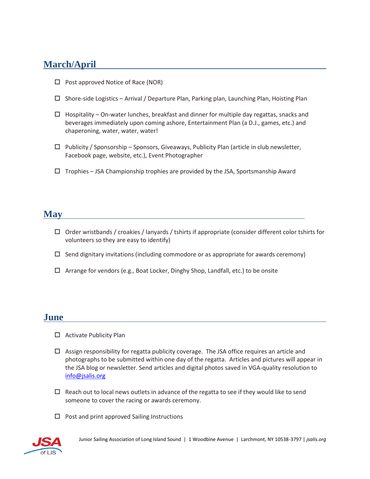## **March/April**

- $\Box$  Post approved Notice of Race (NOR)
- $\square$  Shore-side Logistics Arrival / Departure Plan, Parking plan, Launching Plan, Hoisting Plan
- $\Box$  Hospitality On-water lunches, breakfast and dinner for multiple day regattas, snacks and beverages immediately upon coming ashore, Entertainment Plan (a D.J., games, etc.) and chaperoning, water, water, water!
- $\Box$  Publicity / Sponsorship Sponsors, Giveaways, Publicity Plan (article in club newsletter, Facebook page, website, etc.), Event Photographer
- $\Box$  Trophies JSA Championship trophies are provided by the JSA, Sportsmanship Award

#### **May**

- $\Box$  Order wristbands / croakies / lanyards / tshirts if appropriate (consider different color tshirts for volunteers so they are easy to identify)
- $\Box$  Send dignitary invitations (including commodore or as appropriate for awards ceremony)
- $\Box$  Arrange for vendors (e.g., Boat Locker, Dinghy Shop, Landfall, etc.) to be onsite

#### **June**

- $\Box$  Activate Publicity Plan
- $\Box$  Assign responsibility for regatta publicity coverage. The JSA office requires an article and photographs to be submitted within one day of the regatta. Articles and pictures will appear in the JSA blog or newsletter. Send articles and digital photos saved in VGA-quality resolution to [info@jsalis.org](mailto:info@jsalis.org)
- $\Box$  Reach out to local news outlets in advance of the regatta to see if they would like to send someone to cover the racing or awards ceremony.
- $\Box$  Post and print approved Sailing Instructions

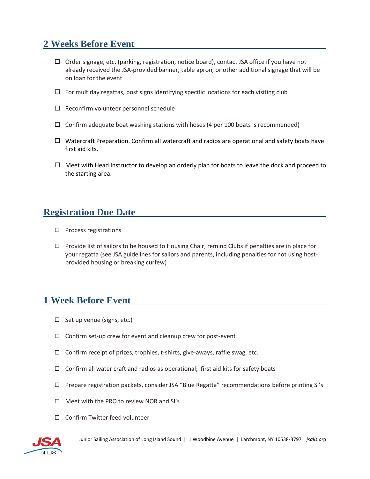## **2 Weeks Before Event**

- $\Box$  Order signage, etc. (parking, registration, notice board), contact JSA office if you have not already received the JSA-provided banner, table apron, or other additional signage that will be on loan for the event
- $\Box$  For multiday regattas, post signs identifying specific locations for each visiting club
- $\Box$  Reconfirm volunteer personnel schedule
- $\Box$  Confirm adequate boat washing stations with hoses (4 per 100 boats is recommended)
- $\Box$  Watercraft Preparation. Confirm all watercraft and radios are operational and safety boats have first aid kits.
- $\Box$  Meet with Head Instructor to develop an orderly plan for boats to leave the dock and proceed to the starting area.

### **Registration Due Date**

- $\square$  Process registrations
- $\Box$  Provide list of sailors to be housed to Housing Chair, remind Clubs if penalties are in place for your regatta (see JSA guidelines for sailors and parents, including penalties for not using hostprovided housing or breaking curfew)

#### **1 Week Before Event**

- $\Box$  Set up venue (signs, etc.)
- $\square$  Confirm set-up crew for event and cleanup crew for post-event
- $\Box$  Confirm receipt of prizes, trophies, t-shirts, give-aways, raffle swag, etc.
- $\Box$  Confirm all water craft and radios as operational; first aid kits for safety boats
- Prepare registration packets, consider JSA "Blue Regatta" recommendations before printing SI's
- Meet with the PRO to review NOR and SI's
- □ Confirm Twitter feed volunteer

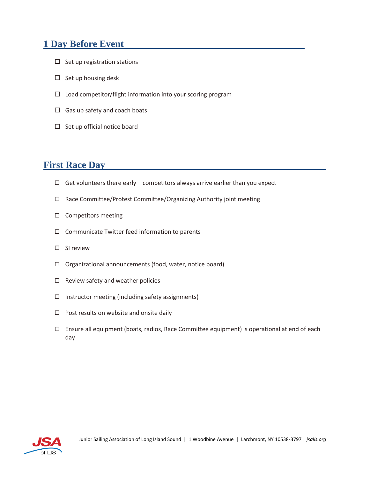## **1 Day Before Event**

- $\square$  Set up registration stations
- $\Box$  Set up housing desk
- $\square$  Load competitor/flight information into your scoring program
- $\Box$  Gas up safety and coach boats
- $\square$  Set up official notice board

### **First Race Day**

- $\Box$  Get volunteers there early competitors always arrive earlier than you expect
- □ Race Committee/Protest Committee/Organizing Authority joint meeting
- $\square$  Competitors meeting
- $\square$  Communicate Twitter feed information to parents
- $\square$  SI review
- Organizational announcements (food, water, notice board)
- $\Box$  Review safety and weather policies
- $\Box$  Instructor meeting (including safety assignments)
- $\Box$  Post results on website and onsite daily
- Ensure all equipment (boats, radios, Race Committee equipment) is operational at end of each day